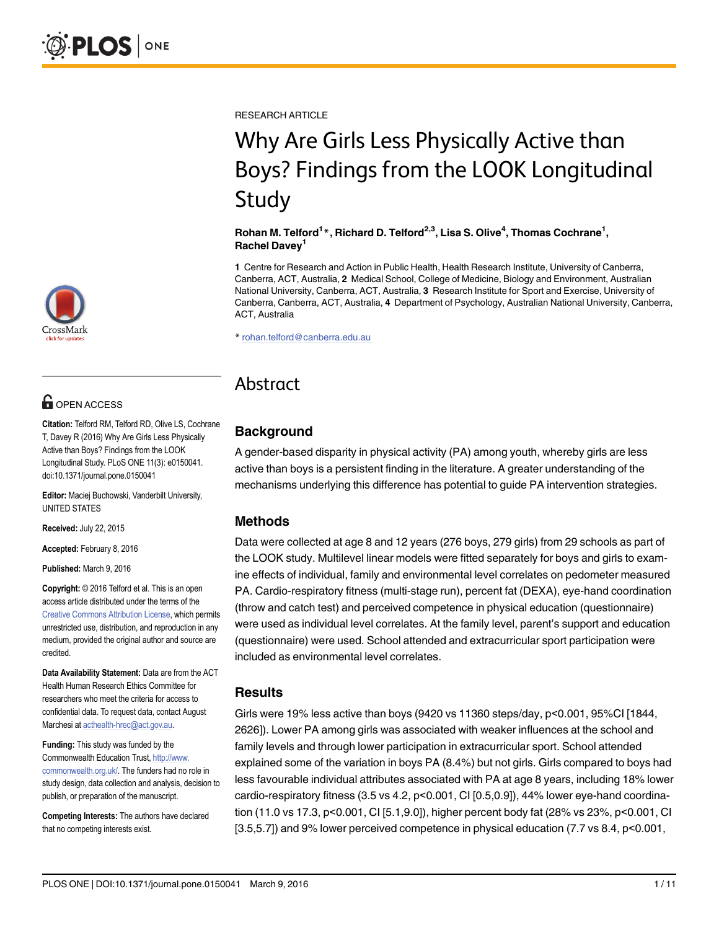RESEARCH ARTICLE

# Why Are Girls Less Physically Active than Boys? Findings from the LOOK Longitudinal Study

Rohan M. Telford $^{1\ast}$ , Richard D. Telford $^{2,3}$ , Lisa S. Olive $^{4}$ , Thomas Cochrane $^{1}$ , Rachel Davey<sup>1</sup>

1 Centre for Research and Action in Public Health, Health Research Institute, University of Canberra, Canberra, ACT, Australia, 2 Medical School, College of Medicine, Biology and Environment, Australian National University, Canberra, ACT, Australia, 3 Research Institute for Sport and Exercise, University of Canberra, Canberra, ACT, Australia, 4 Department of Psychology, Australian National University, Canberra, ACT, Australia

\* rohan.telford@canberra.edu.au

# Abstract

# **Background**

A gender-based disparity in physical activity (PA) among youth, whereby girls are less active than boys is a persistent finding in the literature. A greater understanding of the mechanisms underlying this difference has potential to guide PA intervention strategies.

## Methods

Data were collected at age 8 and 12 years (276 boys, 279 girls) from 29 schools as part of the LOOK study. Multilevel linear models were fitted separately for boys and girls to examine effects of individual, family and environmental level correlates on pedometer measured PA. Cardio-respiratory fitness (multi-stage run), percent fat (DEXA), eye-hand coordination (throw and catch test) and perceived competence in physical education (questionnaire) were used as individual level correlates. At the family level, parent's support and education (questionnaire) were used. School attended and extracurricular sport participation were included as environmental level correlates.

#### **Results**

Girls were 19% less active than boys (9420 vs 11360 steps/day, p<0.001, 95%CI [1844, 2626]). Lower PA among girls was associated with weaker influences at the school and family levels and through lower participation in extracurricular sport. School attended explained some of the variation in boys PA (8.4%) but not girls. Girls compared to boys had less favourable individual attributes associated with PA at age 8 years, including 18% lower cardio-respiratory fitness (3.5 vs 4.2, p<0.001, CI [0.5,0.9]), 44% lower eye-hand coordination (11.0 vs 17.3, p<0.001, CI [5.1,9.0]), higher percent body fat (28% vs 23%, p<0.001, CI [3.5,5.7]) and 9% lower perceived competence in physical education (7.7 vs 8.4, p<0.001,



# **OPEN ACCESS**

Citation: Telford RM, Telford RD, Olive LS, Cochrane T, Davey R (2016) Why Are Girls Less Physically Active than Boys? Findings from the LOOK Longitudinal Study. PLoS ONE 11(3): e0150041. doi:10.1371/journal.pone.0150041

Editor: Maciej Buchowski, Vanderbilt University, UNITED STATES

Received: July 22, 2015

Accepted: February 8, 2016

Published: March 9, 2016

Copyright: © 2016 Telford et al. This is an open access article distributed under the terms of the [Creative Commons Attribution License,](http://creativecommons.org/licenses/by/4.0/) which permits unrestricted use, distribution, and reproduction in any medium, provided the original author and source are credited.

Data Availability Statement: Data are from the ACT Health Human Research Ethics Committee for researchers who meet the criteria for access to confidential data. To request data, contact August Marchesi at acthealth-hrec@act.gov.au.

Funding: This study was funded by the Commonwealth Education Trust, [http://www.](http://www.commonwealth.org.uk/) [commonwealth.org.uk/](http://www.commonwealth.org.uk/). The funders had no role in study design, data collection and analysis, decision to publish, or preparation of the manuscript.

Competing Interests: The authors have declared that no competing interests exist.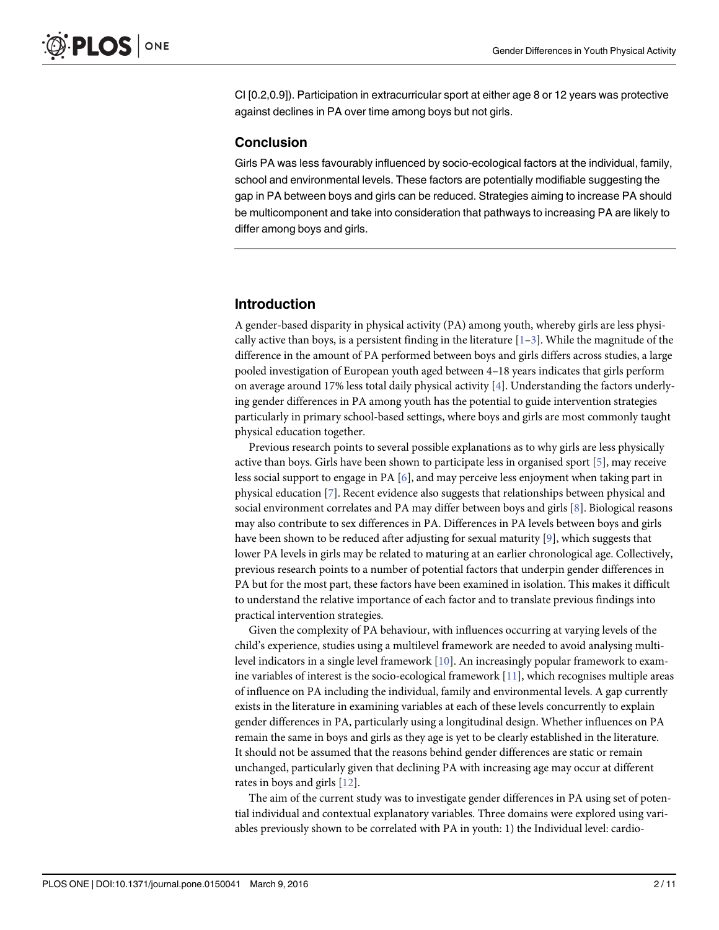<span id="page-1-0"></span>CI [0.2,0.9]). Participation in extracurricular sport at either age 8 or 12 years was protective against declines in PA over time among boys but not girls.

#### **Conclusion**

Girls PA was less favourably influenced by socio-ecological factors at the individual, family, school and environmental levels. These factors are potentially modifiable suggesting the gap in PA between boys and girls can be reduced. Strategies aiming to increase PA should be multicomponent and take into consideration that pathways to increasing PA are likely to differ among boys and girls.

#### Introduction

A gender-based disparity in physical activity (PA) among youth, whereby girls are less physically active than boys, is a persistent finding in the literature  $[1-3]$  $[1-3]$  $[1-3]$ . While the magnitude of the difference in the amount of PA performed between boys and girls differs across studies, a large pooled investigation of European youth aged between 4–18 years indicates that girls perform on average around 17% less total daily physical activity [\[4\]](#page-9-0). Understanding the factors underlying gender differences in PA among youth has the potential to guide intervention strategies particularly in primary school-based settings, where boys and girls are most commonly taught physical education together.

Previous research points to several possible explanations as to why girls are less physically active than boys. Girls have been shown to participate less in organised sport  $[5]$ , may receive less social support to engage in PA [[6\]](#page-9-0), and may perceive less enjoyment when taking part in physical education [\[7](#page-9-0)]. Recent evidence also suggests that relationships between physical and social environment correlates and PA may differ between boys and girls [\[8\]](#page-9-0). Biological reasons may also contribute to sex differences in PA. Differences in PA levels between boys and girls have been shown to be reduced after adjusting for sexual maturity [[9](#page-9-0)], which suggests that lower PA levels in girls may be related to maturing at an earlier chronological age. Collectively, previous research points to a number of potential factors that underpin gender differences in PA but for the most part, these factors have been examined in isolation. This makes it difficult to understand the relative importance of each factor and to translate previous findings into practical intervention strategies.

Given the complexity of PA behaviour, with influences occurring at varying levels of the child's experience, studies using a multilevel framework are needed to avoid analysing multilevel indicators in a single level framework [\[10\]](#page-9-0). An increasingly popular framework to examine variables of interest is the socio-ecological framework [\[11\]](#page-9-0), which recognises multiple areas of influence on PA including the individual, family and environmental levels. A gap currently exists in the literature in examining variables at each of these levels concurrently to explain gender differences in PA, particularly using a longitudinal design. Whether influences on PA remain the same in boys and girls as they age is yet to be clearly established in the literature. It should not be assumed that the reasons behind gender differences are static or remain unchanged, particularly given that declining PA with increasing age may occur at different rates in boys and girls [[12](#page-9-0)].

The aim of the current study was to investigate gender differences in PA using set of potential individual and contextual explanatory variables. Three domains were explored using variables previously shown to be correlated with PA in youth: 1) the Individual level: cardio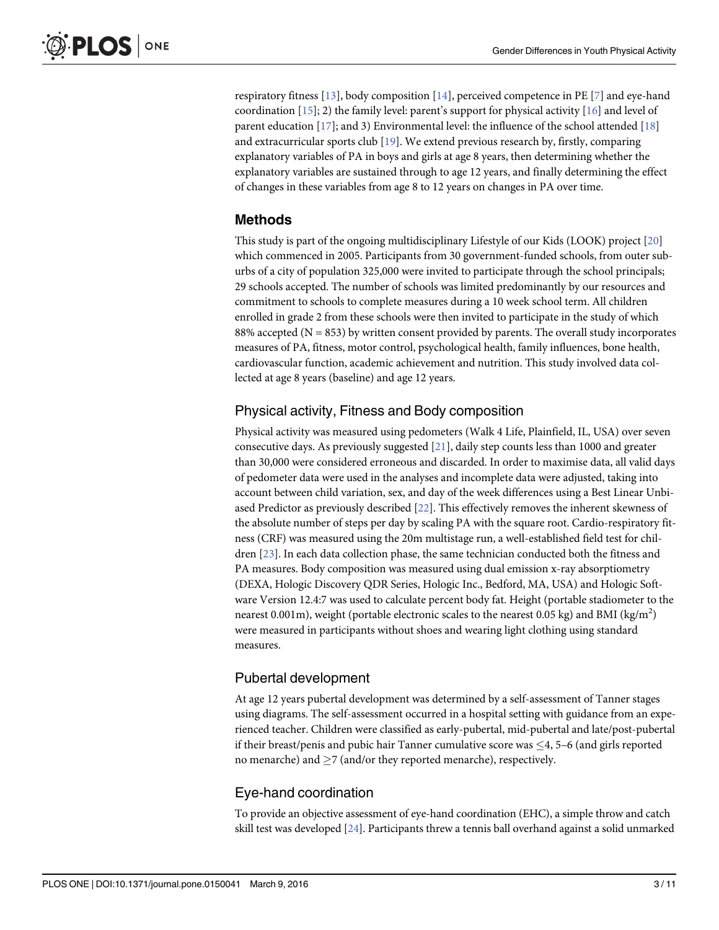<span id="page-2-0"></span>respiratory fitness [[13](#page-9-0)], body composition [[14](#page-9-0)], perceived competence in PE [\[7](#page-9-0)] and eye-hand coordination [\[15\]](#page-9-0); 2) the family level: parent's support for physical activity [\[16](#page-9-0)] and level of parent education  $[17]$  $[17]$ ; and 3) Environmental level: the influence of the school attended  $[18]$  $[18]$  $[18]$ and extracurricular sports club [\[19](#page-9-0)]. We extend previous research by, firstly, comparing explanatory variables of PA in boys and girls at age 8 years, then determining whether the explanatory variables are sustained through to age 12 years, and finally determining the effect of changes in these variables from age 8 to 12 years on changes in PA over time.

# Methods

This study is part of the ongoing multidisciplinary Lifestyle of our Kids (LOOK) project [[20](#page-9-0)] which commenced in 2005. Participants from 30 government-funded schools, from outer suburbs of a city of population 325,000 were invited to participate through the school principals; 29 schools accepted. The number of schools was limited predominantly by our resources and commitment to schools to complete measures during a 10 week school term. All children enrolled in grade 2 from these schools were then invited to participate in the study of which 88% accepted ( $N = 853$ ) by written consent provided by parents. The overall study incorporates measures of PA, fitness, motor control, psychological health, family influences, bone health, cardiovascular function, academic achievement and nutrition. This study involved data collected at age 8 years (baseline) and age 12 years.

# Physical activity, Fitness and Body composition

Physical activity was measured using pedometers (Walk 4 Life, Plainfield, IL, USA) over seven consecutive days. As previously suggested [[21](#page-10-0)], daily step counts less than 1000 and greater than 30,000 were considered erroneous and discarded. In order to maximise data, all valid days of pedometer data were used in the analyses and incomplete data were adjusted, taking into account between child variation, sex, and day of the week differences using a Best Linear Unbiased Predictor as previously described [\[22\]](#page-10-0). This effectively removes the inherent skewness of the absolute number of steps per day by scaling PA with the square root. Cardio-respiratory fitness (CRF) was measured using the 20m multistage run, a well-established field test for children [\[23\]](#page-10-0). In each data collection phase, the same technician conducted both the fitness and PA measures. Body composition was measured using dual emission x-ray absorptiometry (DEXA, Hologic Discovery QDR Series, Hologic Inc., Bedford, MA, USA) and Hologic Software Version 12.4:7 was used to calculate percent body fat. Height (portable stadiometer to the nearest 0.001m), weight (portable electronic scales to the nearest 0.05 kg) and BMI (kg/m<sup>2</sup>) were measured in participants without shoes and wearing light clothing using standard measures.

## Pubertal development

At age 12 years pubertal development was determined by a self-assessment of Tanner stages using diagrams. The self-assessment occurred in a hospital setting with guidance from an experienced teacher. Children were classified as early-pubertal, mid-pubertal and late/post-pubertal if their breast/penis and pubic hair Tanner cumulative score was  $\leq 4$ , 5–6 (and girls reported no menarche) and  $\geq$ 7 (and/or they reported menarche), respectively.

# Eye-hand coordination

To provide an objective assessment of eye-hand coordination (EHC), a simple throw and catch skill test was developed [\[24\]](#page-10-0). Participants threw a tennis ball overhand against a solid unmarked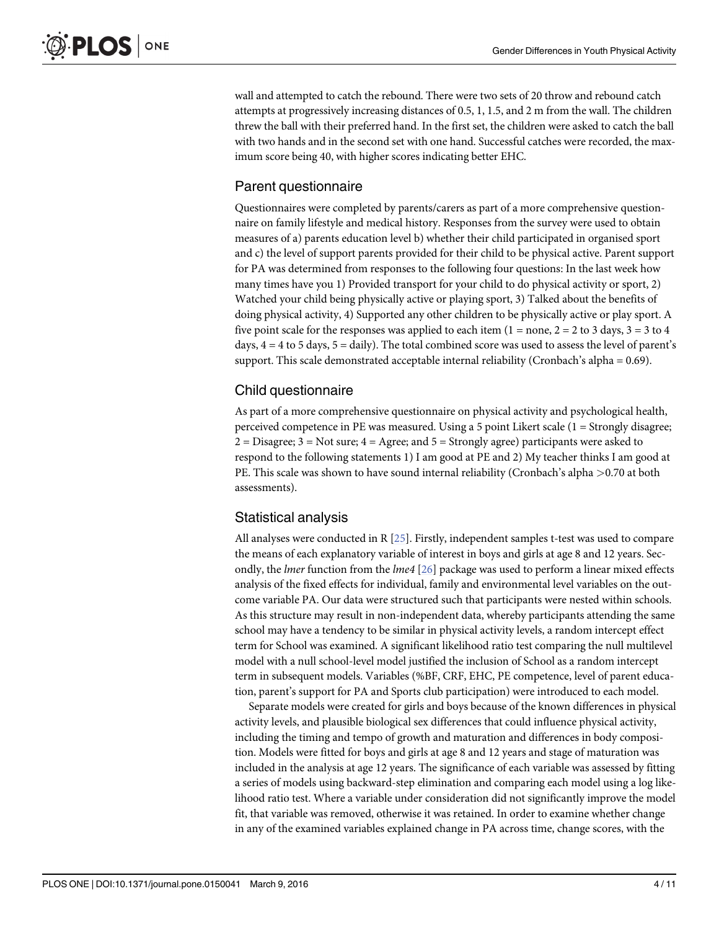<span id="page-3-0"></span>wall and attempted to catch the rebound. There were two sets of 20 throw and rebound catch attempts at progressively increasing distances of 0.5, 1, 1.5, and 2 m from the wall. The children threw the ball with their preferred hand. In the first set, the children were asked to catch the ball with two hands and in the second set with one hand. Successful catches were recorded, the maximum score being 40, with higher scores indicating better EHC.

## Parent questionnaire

Questionnaires were completed by parents/carers as part of a more comprehensive questionnaire on family lifestyle and medical history. Responses from the survey were used to obtain measures of a) parents education level b) whether their child participated in organised sport and c) the level of support parents provided for their child to be physical active. Parent support for PA was determined from responses to the following four questions: In the last week how many times have you 1) Provided transport for your child to do physical activity or sport, 2) Watched your child being physically active or playing sport, 3) Talked about the benefits of doing physical activity, 4) Supported any other children to be physically active or play sport. A five point scale for the responses was applied to each item  $(1 = none, 2 = 2$  to 3 days,  $3 = 3$  to 4 days,  $4 = 4$  to 5 days,  $5 =$  daily). The total combined score was used to assess the level of parent's support. This scale demonstrated acceptable internal reliability (Cronbach's alpha = 0.69).

#### Child questionnaire

As part of a more comprehensive questionnaire on physical activity and psychological health, perceived competence in PE was measured. Using a 5 point Likert scale (1 = Strongly disagree;  $2 = Disagree; 3 = Not sure; 4 = Agree; and 5 = Strongly agree)$  participants were asked to respond to the following statements 1) I am good at PE and 2) My teacher thinks I am good at PE. This scale was shown to have sound internal reliability (Cronbach's alpha >0.70 at both assessments).

#### Statistical analysis

All analyses were conducted in R [[25](#page-10-0)]. Firstly, independent samples t-test was used to compare the means of each explanatory variable of interest in boys and girls at age 8 and 12 years. Secondly, the *lmer* function from the *lme4* [[26\]](#page-10-0) package was used to perform a linear mixed effects analysis of the fixed effects for individual, family and environmental level variables on the outcome variable PA. Our data were structured such that participants were nested within schools. As this structure may result in non-independent data, whereby participants attending the same school may have a tendency to be similar in physical activity levels, a random intercept effect term for School was examined. A significant likelihood ratio test comparing the null multilevel model with a null school-level model justified the inclusion of School as a random intercept term in subsequent models. Variables (%BF, CRF, EHC, PE competence, level of parent education, parent's support for PA and Sports club participation) were introduced to each model.

Separate models were created for girls and boys because of the known differences in physical activity levels, and plausible biological sex differences that could influence physical activity, including the timing and tempo of growth and maturation and differences in body composition. Models were fitted for boys and girls at age 8 and 12 years and stage of maturation was included in the analysis at age 12 years. The significance of each variable was assessed by fitting a series of models using backward-step elimination and comparing each model using a log likelihood ratio test. Where a variable under consideration did not significantly improve the model fit, that variable was removed, otherwise it was retained. In order to examine whether change in any of the examined variables explained change in PA across time, change scores, with the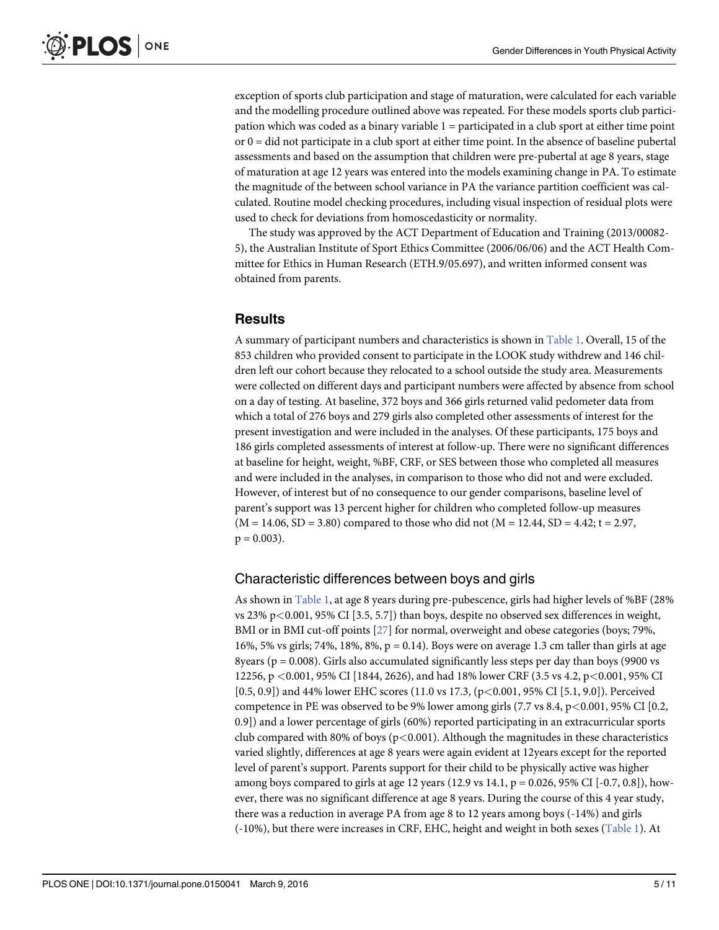<span id="page-4-0"></span>exception of sports club participation and stage of maturation, were calculated for each variable and the modelling procedure outlined above was repeated. For these models sports club participation which was coded as a binary variable 1 = participated in a club sport at either time point  $o$ r  $0 =$  did not participate in a club sport at either time point. In the absence of baseline pubertal assessments and based on the assumption that children were pre-pubertal at age 8 years, stage of maturation at age 12 years was entered into the models examining change in PA. To estimate the magnitude of the between school variance in PA the variance partition coefficient was calculated. Routine model checking procedures, including visual inspection of residual plots were used to check for deviations from homoscedasticity or normality.

The study was approved by the ACT Department of Education and Training (2013/00082- 5), the Australian Institute of Sport Ethics Committee (2006/06/06) and the ACT Health Committee for Ethics in Human Research (ETH.9/05.697), and written informed consent was obtained from parents.

#### **Results**

A summary of participant numbers and characteristics is shown in [Table 1.](#page-5-0) Overall, 15 of the 853 children who provided consent to participate in the LOOK study withdrew and 146 children left our cohort because they relocated to a school outside the study area. Measurements were collected on different days and participant numbers were affected by absence from school on a day of testing. At baseline, 372 boys and 366 girls returned valid pedometer data from which a total of 276 boys and 279 girls also completed other assessments of interest for the present investigation and were included in the analyses. Of these participants, 175 boys and 186 girls completed assessments of interest at follow-up. There were no significant differences at baseline for height, weight, %BF, CRF, or SES between those who completed all measures and were included in the analyses, in comparison to those who did not and were excluded. However, of interest but of no consequence to our gender comparisons, baseline level of parent's support was 13 percent higher for children who completed follow-up measures  $(M = 14.06, SD = 3.80)$  compared to those who did not  $(M = 12.44, SD = 4.42; t = 2.97,$  $p = 0.003$ ).

#### Characteristic differences between boys and girls

As shown in [Table 1,](#page-5-0) at age 8 years during pre-pubescence, girls had higher levels of %BF (28% vs  $23\%$  p $\lt$ 0.001, 95% CI [3.5, 5.7]) than boys, despite no observed sex differences in weight, BMI or in BMI cut-off points [\[27\]](#page-10-0) for normal, overweight and obese categories (boys; 79%, 16%, 5% vs girls; 74%, 18%, 8%, p = 0.14). Boys were on average 1.3 cm taller than girls at age 8years ( $p = 0.008$ ). Girls also accumulated significantly less steps per day than boys (9900 vs 12256, p <0.001, 95% CI [1844, 2626), and had 18% lower CRF (3.5 vs 4.2, p<0.001, 95% CI [0.5, 0.9]) and 44% lower EHC scores (11.0 vs 17.3, (p<0.001, 95% CI [5.1, 9.0]). Perceived competence in PE was observed to be 9% lower among girls  $(7.7 \text{ vs } 8.4, \text{p} < 0.001, 95\% \text{ CI } [0.2,$ 0.9]) and a lower percentage of girls (60%) reported participating in an extracurricular sports club compared with 80% of boys ( $p$ <0.001). Although the magnitudes in these characteristics varied slightly, differences at age 8 years were again evident at 12years except for the reported level of parent's support. Parents support for their child to be physically active was higher among boys compared to girls at age 12 years (12.9 vs 14.1,  $p = 0.026$ , 95% CI [-0.7, 0.8]), however, there was no significant difference at age 8 years. During the course of this 4 year study, there was a reduction in average PA from age 8 to 12 years among boys (-14%) and girls (-10%), but there were increases in CRF, EHC, height and weight in both sexes ([Table 1\)](#page-5-0). At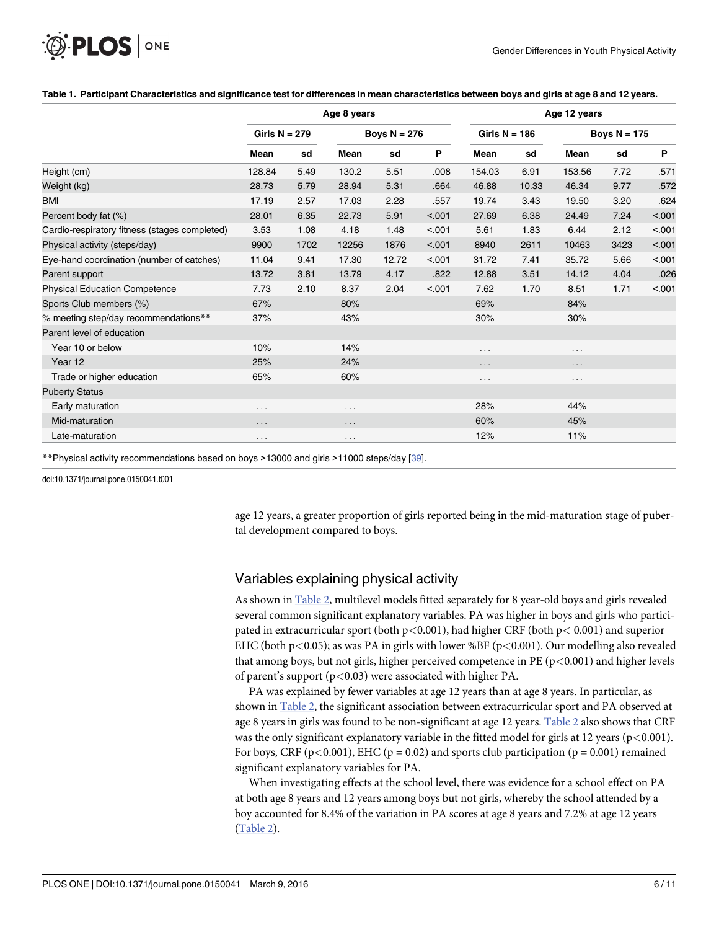|                                               |                 |      | Age 8 years    |       | Age 12 years |                 |       |                |      |        |  |  |
|-----------------------------------------------|-----------------|------|----------------|-------|--------------|-----------------|-------|----------------|------|--------|--|--|
|                                               | Girls $N = 279$ |      | Boys $N = 276$ |       |              | Girls $N = 186$ |       | Boys $N = 175$ |      |        |  |  |
|                                               | Mean            | sd   | Mean           | sd    | P            | Mean            | sd    | Mean           | sd   | P      |  |  |
| Height (cm)                                   | 128.84          | 5.49 | 130.2          | 5.51  | .008         | 154.03          | 6.91  | 153.56         | 7.72 | .571   |  |  |
| Weight (kg)                                   | 28.73           | 5.79 | 28.94          | 5.31  | .664         | 46.88           | 10.33 | 46.34          | 9.77 | .572   |  |  |
| <b>BMI</b>                                    | 17.19           | 2.57 | 17.03          | 2.28  | .557         | 19.74           | 3.43  | 19.50          | 3.20 | .624   |  |  |
| Percent body fat (%)                          | 28.01           | 6.35 | 22.73          | 5.91  | < .001       | 27.69           | 6.38  | 24.49          | 7.24 | < .001 |  |  |
| Cardio-respiratory fitness (stages completed) | 3.53            | 1.08 | 4.18           | 1.48  | < .001       | 5.61            | 1.83  | 6.44           | 2.12 | < .001 |  |  |
| Physical activity (steps/day)                 | 9900            | 1702 | 12256          | 1876  | < .001       | 8940            | 2611  | 10463          | 3423 | < .001 |  |  |
| Eye-hand coordination (number of catches)     | 11.04           | 9.41 | 17.30          | 12.72 | < .001       | 31.72           | 7.41  | 35.72          | 5.66 | < .001 |  |  |
| Parent support                                | 13.72           | 3.81 | 13.79          | 4.17  | .822         | 12.88           | 3.51  | 14.12          | 4.04 | .026   |  |  |
| <b>Physical Education Competence</b>          | 7.73            | 2.10 | 8.37           | 2.04  | < .001       | 7.62            | 1.70  | 8.51           | 1.71 | < .001 |  |  |
| Sports Club members (%)                       | 67%             |      | 80%            |       |              | 69%             |       | 84%            |      |        |  |  |
| % meeting step/day recommendations**          | 37%             |      | 43%            |       |              | 30%             |       | 30%            |      |        |  |  |
| Parent level of education                     |                 |      |                |       |              |                 |       |                |      |        |  |  |
| Year 10 or below                              | 10%             |      | 14%            |       |              | $\cdots$        |       | .              |      |        |  |  |
| Year 12                                       | 25%             |      | 24%            |       |              | $\cdots$        |       | $\cdots$       |      |        |  |  |
| Trade or higher education                     | 65%             |      | 60%            |       |              | $\cdots$        |       | $\cdots$       |      |        |  |  |
| <b>Puberty Status</b>                         |                 |      |                |       |              |                 |       |                |      |        |  |  |
| Early maturation                              | $\cdots$        |      | $\cdots$       |       |              | 28%             |       | 44%            |      |        |  |  |
| Mid-maturation                                | .               |      | .              |       |              | 60%             |       | 45%            |      |        |  |  |
| Late-maturation                               | .               |      | .              |       |              | 12%             |       | 11%            |      |        |  |  |

#### <span id="page-5-0"></span>[Table 1.](#page-4-0) Participant Characteristics and significance test for differences in mean characteristics between boys and girls at age 8 and 12 years.

\*\*Physical activity recommendations based on boys >13000 and girls >11000 steps/day [\[39](#page-10-0)].

doi:10.1371/journal.pone.0150041.t001

age 12 years, a greater proportion of girls reported being in the mid-maturation stage of pubertal development compared to boys.

#### Variables explaining physical activity

As shown in [Table 2,](#page-6-0) multilevel models fitted separately for 8 year-old boys and girls revealed several common significant explanatory variables. PA was higher in boys and girls who participated in extracurricular sport (both  $p<0.001$ ), had higher CRF (both  $p<0.001$ ) and superior EHC (both p<0.05); as was PA in girls with lower %BF (p<0.001). Our modelling also revealed that among boys, but not girls, higher perceived competence in PE  $(p<0.001)$  and higher levels of parent's support ( $p$ <0.03) were associated with higher PA.

PA was explained by fewer variables at age 12 years than at age 8 years. In particular, as shown in [Table 2,](#page-6-0) the significant association between extracurricular sport and PA observed at age 8 years in girls was found to be non-significant at age 12 years. [Table 2](#page-6-0) also shows that CRF was the only significant explanatory variable in the fitted model for girls at 12 years ( $p$ <0.001). For boys, CRF ( $p$ <0.001), EHC ( $p$  = 0.02) and sports club participation ( $p$  = 0.001) remained significant explanatory variables for PA.

When investigating effects at the school level, there was evidence for a school effect on PA at both age 8 years and 12 years among boys but not girls, whereby the school attended by a boy accounted for 8.4% of the variation in PA scores at age 8 years and 7.2% at age 12 years [\(Table 2\)](#page-6-0).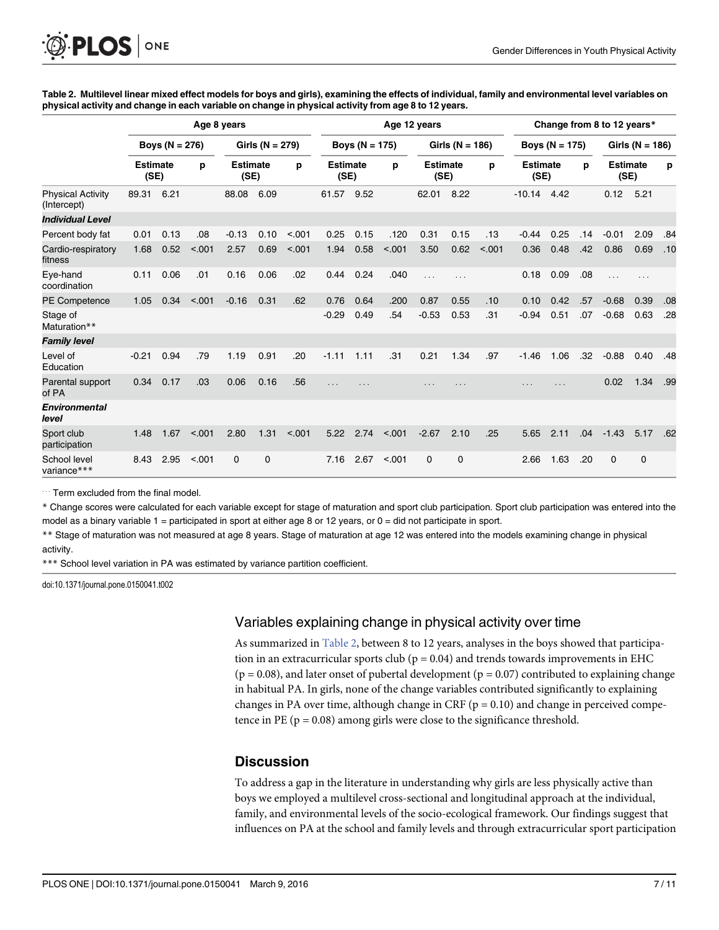<span id="page-6-0"></span>[Table 2.](#page-5-0) Multilevel linear mixed effect models for boys and girls), examining the effects of individual, family and environmental level variables on physical activity and change in each variable on change in physical activity from age 8 to 12 years.

|                                         | Age 8 years             |      |                     |         |                         |        |                         | Change from 8 to 12 years* |        |                         |             |        |                         |      |     |                         |         |     |
|-----------------------------------------|-------------------------|------|---------------------|---------|-------------------------|--------|-------------------------|----------------------------|--------|-------------------------|-------------|--------|-------------------------|------|-----|-------------------------|---------|-----|
|                                         | Boys ( $N = 276$ )      |      | Girls ( $N = 279$ ) |         | Boys ( $N = 175$ )      |        | Girls ( $N = 186$ )     |                            |        | Boys ( $N = 175$ )      |             |        | Girls ( $N = 186$ )     |      |     |                         |         |     |
|                                         | <b>Estimate</b><br>(SE) |      | p                   |         | <b>Estimate</b><br>(SE) |        | <b>Estimate</b><br>(SE) |                            | р      | <b>Estimate</b><br>(SE) |             | p      | <b>Estimate</b><br>(SE) |      | p   | <b>Estimate</b><br>(SE) |         | р   |
| <b>Physical Activity</b><br>(Intercept) | 89.31                   | 6.21 |                     | 88.08   | 6.09                    |        | 61.57                   | 9.52                       |        | 62.01                   | 8.22        |        | $-10.14$                | 4.42 |     | 0.12                    | 5.21    |     |
| <b>Individual Level</b>                 |                         |      |                     |         |                         |        |                         |                            |        |                         |             |        |                         |      |     |                         |         |     |
| Percent body fat                        | 0.01                    | 0.13 | .08                 | $-0.13$ | 0.10                    | < 0.01 | 0.25                    | 0.15                       | .120   | 0.31                    | 0.15        | .13    | $-0.44$                 | 0.25 | .14 | $-0.01$                 | 2.09    | .84 |
| Cardio-respiratory<br>fitness           | 1.68                    | 0.52 | < .001              | 2.57    | 0.69                    | < .001 | 1.94                    | 0.58                       | < .001 | 3.50                    | 0.62        | < .001 | 0.36                    | 0.48 | .42 | 0.86                    | 0.69    | .10 |
| Eye-hand<br>coordination                | 0.11                    | 0.06 | .01                 | 0.16    | 0.06                    | .02    | 0.44                    | 0.24                       | .040   | .                       | .           |        | 0.18                    | 0.09 | .08 | $\cdots$                | $\cdot$ |     |
| PE Competence                           | 1.05                    | 0.34 | < .001              | $-0.16$ | 0.31                    | .62    | 0.76                    | 0.64                       | .200   | 0.87                    | 0.55        | .10    | 0.10                    | 0.42 | .57 | $-0.68$                 | 0.39    | .08 |
| Stage of<br>Maturation**                |                         |      |                     |         |                         |        | $-0.29$                 | 0.49                       | .54    | $-0.53$                 | 0.53        | .31    | $-0.94$                 | 0.51 | .07 | $-0.68$                 | 0.63    | .28 |
| <b>Family level</b>                     |                         |      |                     |         |                         |        |                         |                            |        |                         |             |        |                         |      |     |                         |         |     |
| Level of<br>Education                   | $-0.21$                 | 0.94 | .79                 | 1.19    | 0.91                    | .20    | $-1.11$                 | 1.11                       | .31    | 0.21                    | 1.34        | .97    | $-1.46$                 | 1.06 | .32 | $-0.88$                 | 0.40    | .48 |
| Parental support<br>of PA               | 0.34                    | 0.17 | .03                 | 0.06    | 0.16                    | .56    | .                       | .                          |        | .                       | .           |        | .                       | .    |     | 0.02                    | 1.34    | .99 |
| <b>Environmental</b><br>level           |                         |      |                     |         |                         |        |                         |                            |        |                         |             |        |                         |      |     |                         |         |     |
| Sport club<br>participation             | 1.48                    | 1.67 | < .001              | 2.80    | 1.31                    | < 0.01 | 5.22                    | 2.74                       | < .001 | $-2.67$                 | 2.10        | .25    | 5.65                    | 2.11 | .04 | $-1.43$                 | 5.17    | .62 |
| School level<br>variance***             | 8.43                    | 2.95 | < 0.001             | 0       | $\mathbf 0$             |        | 7.16                    | 2.67                       | < .001 | $\mathbf 0$             | $\mathbf 0$ |        | 2.66                    | 1.63 | .20 | $\mathbf 0$             | 0       |     |

... Term excluded from the final model.

\* Change scores were calculated for each variable except for stage of maturation and sport club participation. Sport club participation was entered into the model as a binary variable  $1 =$  participated in sport at either age 8 or 12 years, or  $0 =$  did not participate in sport.

\*\* Stage of maturation was not measured at age 8 years. Stage of maturation at age 12 was entered into the models examining change in physical

activity.

\*\*\* School level variation in PA was estimated by variance partition coefficient.

doi:10.1371/journal.pone.0150041.t002

#### Variables explaining change in physical activity over time

As summarized in Table 2, between 8 to 12 years, analyses in the boys showed that participation in an extracurricular sports club ( $p = 0.04$ ) and trends towards improvements in EHC  $(p = 0.08)$ , and later onset of pubertal development  $(p = 0.07)$  contributed to explaining change in habitual PA. In girls, none of the change variables contributed significantly to explaining changes in PA over time, although change in CRF ( $p = 0.10$ ) and change in perceived competence in PE ( $p = 0.08$ ) among girls were close to the significance threshold.

#### **Discussion**

To address a gap in the literature in understanding why girls are less physically active than boys we employed a multilevel cross-sectional and longitudinal approach at the individual, family, and environmental levels of the socio-ecological framework. Our findings suggest that influences on PA at the school and family levels and through extracurricular sport participation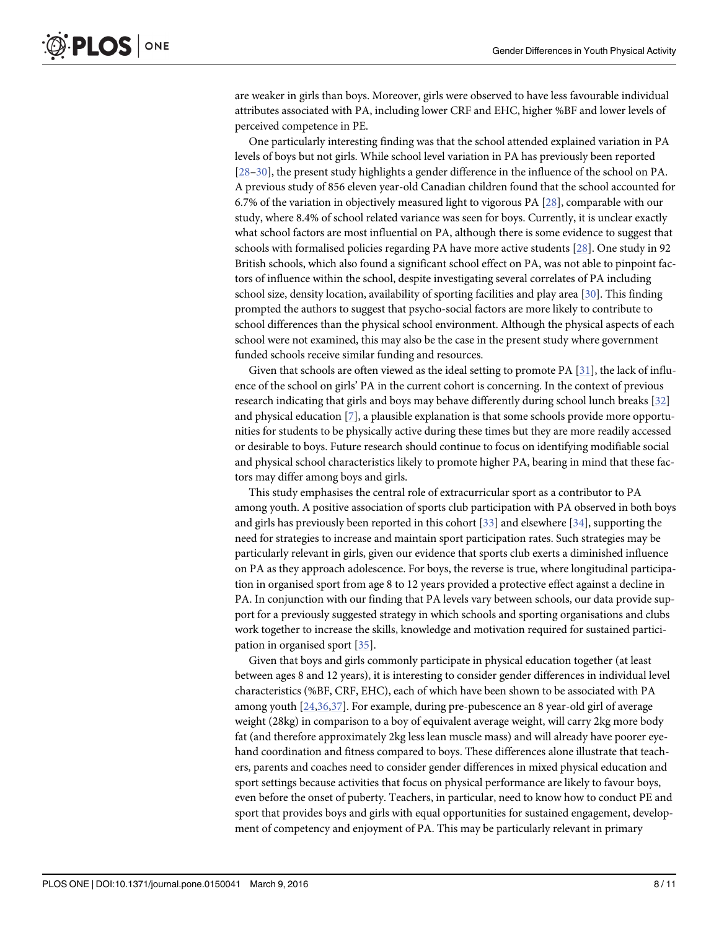<span id="page-7-0"></span>are weaker in girls than boys. Moreover, girls were observed to have less favourable individual attributes associated with PA, including lower CRF and EHC, higher %BF and lower levels of perceived competence in PE.

One particularly interesting finding was that the school attended explained variation in PA levels of boys but not girls. While school level variation in PA has previously been reported [\[28](#page-10-0)–[30\]](#page-10-0), the present study highlights a gender difference in the influence of the school on PA. A previous study of 856 eleven year-old Canadian children found that the school accounted for 6.7% of the variation in objectively measured light to vigorous PA [[28](#page-10-0)], comparable with our study, where 8.4% of school related variance was seen for boys. Currently, it is unclear exactly what school factors are most influential on PA, although there is some evidence to suggest that schools with formalised policies regarding PA have more active students [\[28\]](#page-10-0). One study in 92 British schools, which also found a significant school effect on PA, was not able to pinpoint factors of influence within the school, despite investigating several correlates of PA including school size, density location, availability of sporting facilities and play area [\[30\]](#page-10-0). This finding prompted the authors to suggest that psycho-social factors are more likely to contribute to school differences than the physical school environment. Although the physical aspects of each school were not examined, this may also be the case in the present study where government funded schools receive similar funding and resources.

Given that schools are often viewed as the ideal setting to promote PA [[31](#page-10-0)], the lack of influence of the school on girls' PA in the current cohort is concerning. In the context of previous research indicating that girls and boys may behave differently during school lunch breaks [[32](#page-10-0)] and physical education [[7](#page-9-0)], a plausible explanation is that some schools provide more opportunities for students to be physically active during these times but they are more readily accessed or desirable to boys. Future research should continue to focus on identifying modifiable social and physical school characteristics likely to promote higher PA, bearing in mind that these factors may differ among boys and girls.

This study emphasises the central role of extracurricular sport as a contributor to PA among youth. A positive association of sports club participation with PA observed in both boys and girls has previously been reported in this cohort  $[33]$  $[33]$  and elsewhere  $[34]$ , supporting the need for strategies to increase and maintain sport participation rates. Such strategies may be particularly relevant in girls, given our evidence that sports club exerts a diminished influence on PA as they approach adolescence. For boys, the reverse is true, where longitudinal participation in organised sport from age 8 to 12 years provided a protective effect against a decline in PA. In conjunction with our finding that PA levels vary between schools, our data provide support for a previously suggested strategy in which schools and sporting organisations and clubs work together to increase the skills, knowledge and motivation required for sustained participation in organised sport [\[35\]](#page-10-0).

Given that boys and girls commonly participate in physical education together (at least between ages 8 and 12 years), it is interesting to consider gender differences in individual level characteristics (%BF, CRF, EHC), each of which have been shown to be associated with PA among youth [[24,36,37\]](#page-10-0). For example, during pre-pubescence an 8 year-old girl of average weight (28kg) in comparison to a boy of equivalent average weight, will carry 2kg more body fat (and therefore approximately 2kg less lean muscle mass) and will already have poorer eyehand coordination and fitness compared to boys. These differences alone illustrate that teachers, parents and coaches need to consider gender differences in mixed physical education and sport settings because activities that focus on physical performance are likely to favour boys, even before the onset of puberty. Teachers, in particular, need to know how to conduct PE and sport that provides boys and girls with equal opportunities for sustained engagement, development of competency and enjoyment of PA. This may be particularly relevant in primary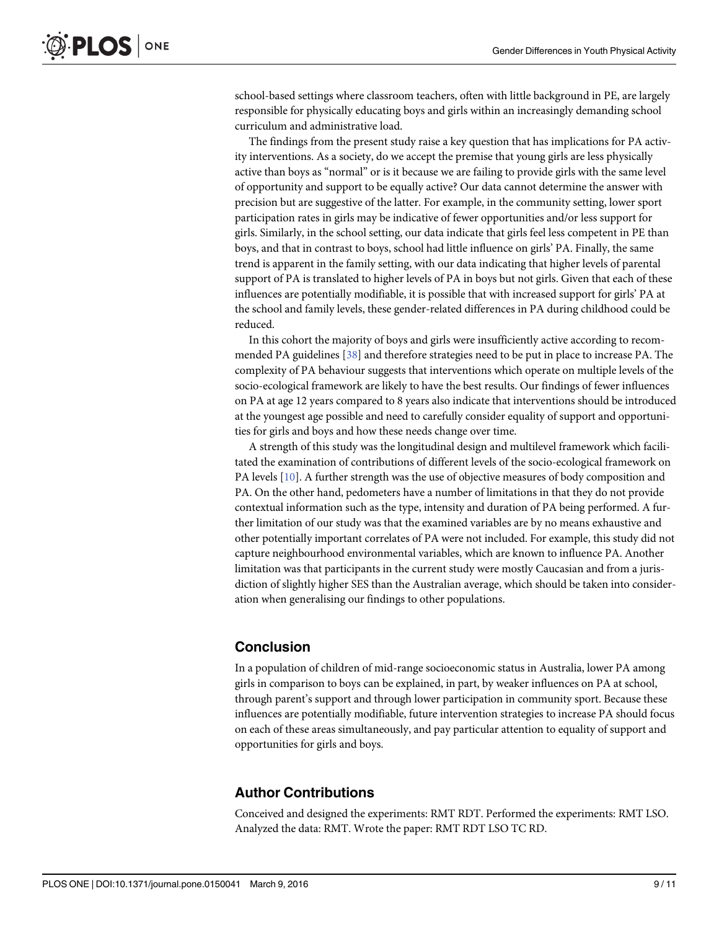<span id="page-8-0"></span>school-based settings where classroom teachers, often with little background in PE, are largely responsible for physically educating boys and girls within an increasingly demanding school curriculum and administrative load.

The findings from the present study raise a key question that has implications for PA activity interventions. As a society, do we accept the premise that young girls are less physically active than boys as "normal" or is it because we are failing to provide girls with the same level of opportunity and support to be equally active? Our data cannot determine the answer with precision but are suggestive of the latter. For example, in the community setting, lower sport participation rates in girls may be indicative of fewer opportunities and/or less support for girls. Similarly, in the school setting, our data indicate that girls feel less competent in PE than boys, and that in contrast to boys, school had little influence on girls' PA. Finally, the same trend is apparent in the family setting, with our data indicating that higher levels of parental support of PA is translated to higher levels of PA in boys but not girls. Given that each of these influences are potentially modifiable, it is possible that with increased support for girls' PA at the school and family levels, these gender-related differences in PA during childhood could be reduced.

In this cohort the majority of boys and girls were insufficiently active according to recommended PA guidelines [\[38\]](#page-10-0) and therefore strategies need to be put in place to increase PA. The complexity of PA behaviour suggests that interventions which operate on multiple levels of the socio-ecological framework are likely to have the best results. Our findings of fewer influences on PA at age 12 years compared to 8 years also indicate that interventions should be introduced at the youngest age possible and need to carefully consider equality of support and opportunities for girls and boys and how these needs change over time.

A strength of this study was the longitudinal design and multilevel framework which facilitated the examination of contributions of different levels of the socio-ecological framework on PA levels [[10\]](#page-9-0). A further strength was the use of objective measures of body composition and PA. On the other hand, pedometers have a number of limitations in that they do not provide contextual information such as the type, intensity and duration of PA being performed. A further limitation of our study was that the examined variables are by no means exhaustive and other potentially important correlates of PA were not included. For example, this study did not capture neighbourhood environmental variables, which are known to influence PA. Another limitation was that participants in the current study were mostly Caucasian and from a jurisdiction of slightly higher SES than the Australian average, which should be taken into consideration when generalising our findings to other populations.

#### Conclusion

In a population of children of mid-range socioeconomic status in Australia, lower PA among girls in comparison to boys can be explained, in part, by weaker influences on PA at school, through parent's support and through lower participation in community sport. Because these influences are potentially modifiable, future intervention strategies to increase PA should focus on each of these areas simultaneously, and pay particular attention to equality of support and opportunities for girls and boys.

#### Author Contributions

Conceived and designed the experiments: RMT RDT. Performed the experiments: RMT LSO. Analyzed the data: RMT. Wrote the paper: RMT RDT LSO TC RD.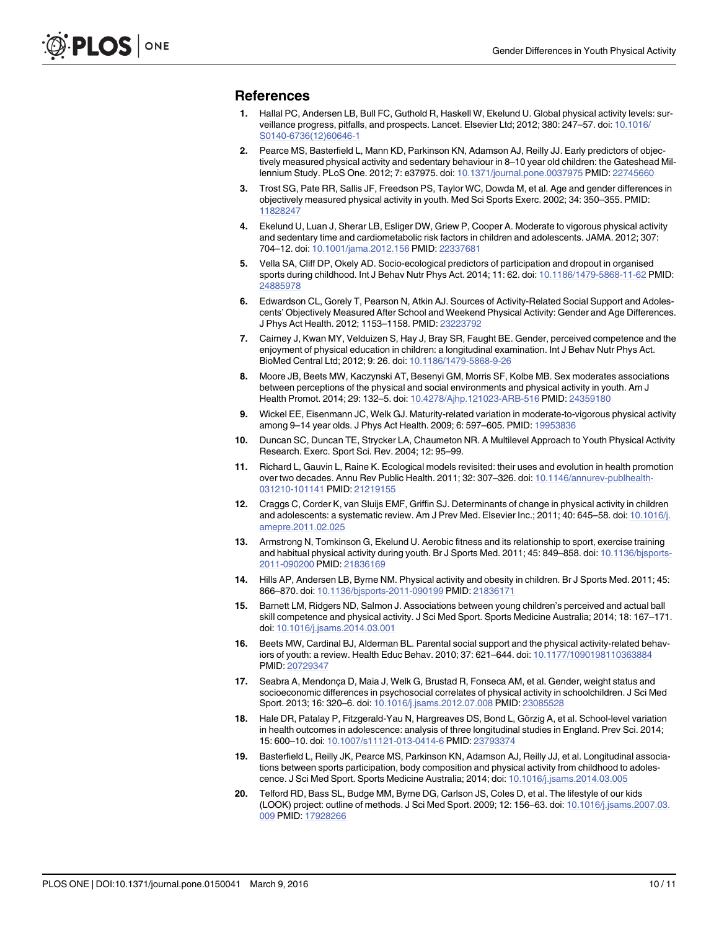#### <span id="page-9-0"></span>References

- [1.](#page-1-0) Hallal PC, Andersen LB, Bull FC, Guthold R, Haskell W, Ekelund U. Global physical activity levels: surveillance progress, pitfalls, and prospects. Lancet. Elsevier Ltd; 2012; 380: 247–57. doi: [10.1016/](http://dx.doi.org/10.1016/S0140-6736(12)60646-1) [S0140-6736\(12\)60646-1](http://dx.doi.org/10.1016/S0140-6736(12)60646-1)
- 2. Pearce MS, Basterfield L, Mann KD, Parkinson KN, Adamson AJ, Reilly JJ. Early predictors of objectively measured physical activity and sedentary behaviour in 8–10 year old children: the Gateshead Millennium Study. PLoS One. 2012; 7: e37975. doi: [10.1371/journal.pone.0037975](http://dx.doi.org/10.1371/journal.pone.0037975) PMID: [22745660](http://www.ncbi.nlm.nih.gov/pubmed/22745660)
- [3.](#page-1-0) Trost SG, Pate RR, Sallis JF, Freedson PS, Taylor WC, Dowda M, et al. Age and gender differences in objectively measured physical activity in youth. Med Sci Sports Exerc. 2002; 34: 350–355. PMID: [11828247](http://www.ncbi.nlm.nih.gov/pubmed/11828247)
- [4.](#page-1-0) Ekelund U, Luan J, Sherar LB, Esliger DW, Griew P, Cooper A. Moderate to vigorous physical activity and sedentary time and cardiometabolic risk factors in children and adolescents. JAMA. 2012; 307: 704–12. doi: [10.1001/jama.2012.156](http://dx.doi.org/10.1001/jama.2012.156) PMID: [22337681](http://www.ncbi.nlm.nih.gov/pubmed/22337681)
- [5.](#page-1-0) Vella SA, Cliff DP, Okely AD. Socio-ecological predictors of participation and dropout in organised sports during childhood. Int J Behav Nutr Phys Act. 2014; 11: 62. doi: [10.1186/1479-5868-11-62](http://dx.doi.org/10.1186/1479-5868-11-62) PMID: [24885978](http://www.ncbi.nlm.nih.gov/pubmed/24885978)
- [6.](#page-1-0) Edwardson CL, Gorely T, Pearson N, Atkin AJ. Sources of Activity-Related Social Support and Adolescents' Objectively Measured After School and Weekend Physical Activity: Gender and Age Differences. J Phys Act Health. 2012; 1153–1158. PMID: [23223792](http://www.ncbi.nlm.nih.gov/pubmed/23223792)
- [7.](#page-1-0) Cairney J, Kwan MY, Velduizen S, Hay J, Bray SR, Faught BE. Gender, perceived competence and the enjoyment of physical education in children: a longitudinal examination. Int J Behav Nutr Phys Act. BioMed Central Ltd; 2012; 9: 26. doi: [10.1186/1479-5868-9-26](http://dx.doi.org/10.1186/1479-5868-9-26)
- [8.](#page-1-0) Moore JB, Beets MW, Kaczynski AT, Besenyi GM, Morris SF, Kolbe MB. Sex moderates associations between perceptions of the physical and social environments and physical activity in youth. Am J Health Promot. 2014; 29: 132–5. doi: [10.4278/Ajhp.121023-ARB-516](http://dx.doi.org/10.4278/Ajhp.121023-ARB-516) PMID: [24359180](http://www.ncbi.nlm.nih.gov/pubmed/24359180)
- [9.](#page-1-0) Wickel EE, Eisenmann JC, Welk GJ. Maturity-related variation in moderate-to-vigorous physical activity among 9-14 year olds. J Phys Act Health. 2009; 6: 597-605. PMID: [19953836](http://www.ncbi.nlm.nih.gov/pubmed/19953836)
- [10.](#page-1-0) Duncan SC, Duncan TE, Strycker LA, Chaumeton NR. A Multilevel Approach to Youth Physical Activity Research. Exerc. Sport Sci. Rev. 2004; 12: 95–99.
- [11.](#page-1-0) Richard L, Gauvin L, Raine K. Ecological models revisited: their uses and evolution in health promotion over two decades. Annu Rev Public Health. 2011; 32: 307-326. doi: [10.1146/annurev-publhealth-](http://dx.doi.org/10.1146/annurev-publhealth-031210-101141)[031210-101141](http://dx.doi.org/10.1146/annurev-publhealth-031210-101141) PMID: [21219155](http://www.ncbi.nlm.nih.gov/pubmed/21219155)
- [12.](#page-1-0) Craggs C, Corder K, van Sluijs EMF, Griffin SJ. Determinants of change in physical activity in children and adolescents: a systematic review. Am J Prev Med. Elsevier Inc.; 2011; 40: 645–58. doi: [10.1016/j.](http://dx.doi.org/10.1016/j.amepre.2011.02.025) [amepre.2011.02.025](http://dx.doi.org/10.1016/j.amepre.2011.02.025)
- [13.](#page-2-0) Armstrong N, Tomkinson G, Ekelund U. Aerobic fitness and its relationship to sport, exercise training and habitual physical activity during youth. Br J Sports Med. 2011; 45: 849-858. doi: [10.1136/bjsports-](http://dx.doi.org/10.1136/bjsports-2011-090200)[2011-090200](http://dx.doi.org/10.1136/bjsports-2011-090200) PMID: [21836169](http://www.ncbi.nlm.nih.gov/pubmed/21836169)
- [14.](#page-2-0) Hills AP, Andersen LB, Byrne NM. Physical activity and obesity in children. Br J Sports Med. 2011; 45: 866–870. doi: [10.1136/bjsports-2011-090199](http://dx.doi.org/10.1136/bjsports-2011-090199) PMID: [21836171](http://www.ncbi.nlm.nih.gov/pubmed/21836171)
- [15.](#page-2-0) Barnett LM, Ridgers ND, Salmon J. Associations between young children's perceived and actual ball skill competence and physical activity. J Sci Med Sport. Sports Medicine Australia; 2014; 18: 167–171. doi: [10.1016/j.jsams.2014.03.001](http://dx.doi.org/10.1016/j.jsams.2014.03.001)
- [16.](#page-2-0) Beets MW, Cardinal BJ, Alderman BL. Parental social support and the physical activity-related behaviors of youth: a review. Health Educ Behav. 2010; 37: 621–644. doi: [10.1177/1090198110363884](http://dx.doi.org/10.1177/1090198110363884) PMID: [20729347](http://www.ncbi.nlm.nih.gov/pubmed/20729347)
- [17.](#page-2-0) Seabra A, Mendonça D, Maia J, Welk G, Brustad R, Fonseca AM, et al. Gender, weight status and socioeconomic differences in psychosocial correlates of physical activity in schoolchildren. J Sci Med Sport. 2013; 16: 320–6. doi: [10.1016/j.jsams.2012.07.008](http://dx.doi.org/10.1016/j.jsams.2012.07.008) PMID: [23085528](http://www.ncbi.nlm.nih.gov/pubmed/23085528)
- [18.](#page-2-0) Hale DR, Patalay P, Fitzgerald-Yau N, Hargreaves DS, Bond L, Görzig A, et al. School-level variation in health outcomes in adolescence: analysis of three longitudinal studies in England. Prev Sci. 2014; 15: 600–10. doi: [10.1007/s11121-013-0414-6](http://dx.doi.org/10.1007/s11121-013-0414-6) PMID: [23793374](http://www.ncbi.nlm.nih.gov/pubmed/23793374)
- [19.](#page-2-0) Basterfield L, Reilly JK, Pearce MS, Parkinson KN, Adamson AJ, Reilly JJ, et al. Longitudinal associations between sports participation, body composition and physical activity from childhood to adolescence. J Sci Med Sport. Sports Medicine Australia; 2014; doi: [10.1016/j.jsams.2014.03.005](http://dx.doi.org/10.1016/j.jsams.2014.03.005)
- [20.](#page-2-0) Telford RD, Bass SL, Budge MM, Byrne DG, Carlson JS, Coles D, et al. The lifestyle of our kids (LOOK) project: outline of methods. J Sci Med Sport. 2009; 12: 156–63. doi: [10.1016/j.jsams.2007.03.](http://dx.doi.org/10.1016/j.jsams.2007.03.009) [009](http://dx.doi.org/10.1016/j.jsams.2007.03.009) PMID: [17928266](http://www.ncbi.nlm.nih.gov/pubmed/17928266)